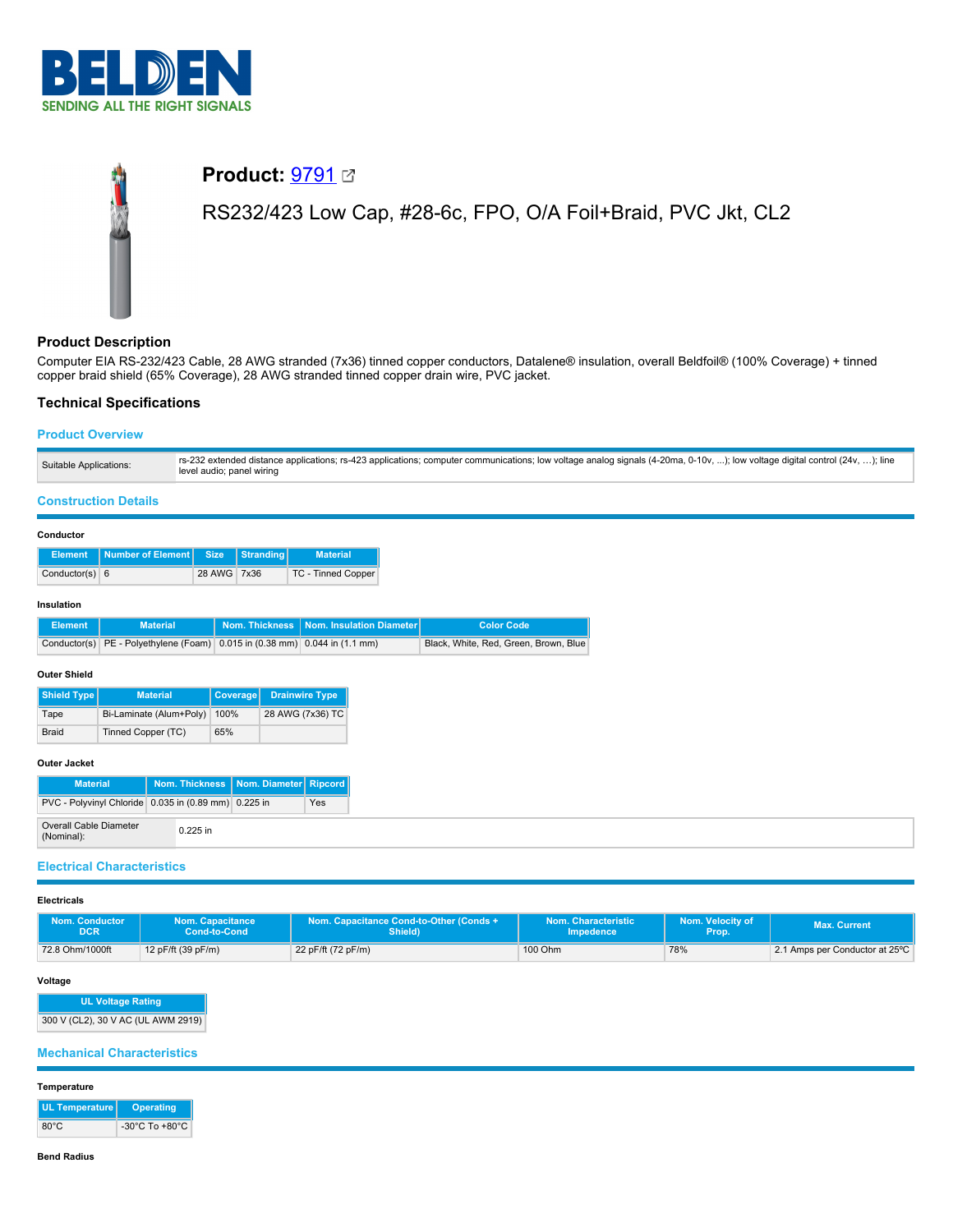

# **Product:** [9791](https://catalog.belden.com/index.cfm?event=pd&p=PF_9791&tab=downloads) RS232/423 Low Cap, #28-6c, FPO, O/A Foil+Braid, PVC Jkt, CL2

## **Product Description**

Computer EIA RS-232/423 Cable, 28 AWG stranded (7x36) tinned copper conductors, Datalene® insulation, overall Beldfoil® (100% Coverage) + tinned copper braid shield (65% Coverage), 28 AWG stranded tinned copper drain wire, PVC jacket.

# **Technical Specifications**

## **Product Overview**

| Suitable Applications: | rs-232 extended distance applications; rs-423 applications; computer communications; low voltage analog signals (4-20ma, 0-10v, ); low voltage digital control (24v, ); line<br>level audio; panel wiring |
|------------------------|-----------------------------------------------------------------------------------------------------------------------------------------------------------------------------------------------------------|
|------------------------|-----------------------------------------------------------------------------------------------------------------------------------------------------------------------------------------------------------|

## **Construction Details**

#### **Conductor**

|                  | Element Number of Element Size Stranding |             | <b>Material</b>           |
|------------------|------------------------------------------|-------------|---------------------------|
| Conductor(s) $6$ |                                          | 28 AWG 7x36 | <b>TC - Tinned Copper</b> |

## **Insulation**

| Element | <b>Material</b>                                                                    | Nom. Thickness   Nom. Insulation Diameter | <b>Color Code</b>                     |
|---------|------------------------------------------------------------------------------------|-------------------------------------------|---------------------------------------|
|         | Conductor(s) PE - Polyethylene (Foam) $0.015$ in $(0.38$ mm) $0.044$ in $(1.1$ mm) |                                           | Black, White, Red, Green, Brown, Blue |

## **Outer Shield**

| Shield Type  | <b>Material</b>         | <b>Coverage</b> | <b>Drainwire Type</b> |
|--------------|-------------------------|-----------------|-----------------------|
| Tape         | Bi-Laminate (Alum+Poly) | 100%            | 28 AWG (7x36) TC      |
| <b>Braid</b> | Tinned Copper (TC)      | 65%             |                       |

## **Outer Jacket**

| <b>Material</b>                                      |            |  | Nom. Thickness   Nom. Diameter   Ripcord |     |
|------------------------------------------------------|------------|--|------------------------------------------|-----|
| PVC - Polyvinyl Chloride 0.035 in (0.89 mm) 0.225 in |            |  |                                          | Yes |
| <b>Overall Cable Diameter</b><br>(Nominal):          | $0.225$ in |  |                                          |     |

## **Electrical Characteristics**

#### **Electricals**

| <b>Nom. Conductor</b> | <b>Nom. Capacitance</b> | Nom. Capacitance Cond-to-Other (Conds + | Nom. Characteristic | Nom. Velocity of | <b>Max. Current</b>            |
|-----------------------|-------------------------|-----------------------------------------|---------------------|------------------|--------------------------------|
| DCR                   | Cond-to-Cond            | Shield)                                 | Impedence           | Prop.            |                                |
| 72.8 Ohm/1000ft       | 12 pF/ft (39 pF/m)      | 22 pF/ft (72 pF/m)                      | 100 Ohm             | 78%              | 2.1 Amps per Conductor at 25°C |

#### **Voltage**

**UL Voltage Rating** 300 V (CL2), 30 V AC (UL AWM 2919)

## **Mechanical Characteristics**

#### **Temperature**

| UL Temperature | <b>Operating</b>                   |
|----------------|------------------------------------|
| $80^{\circ}$ C | $-30^{\circ}$ C To $+80^{\circ}$ C |